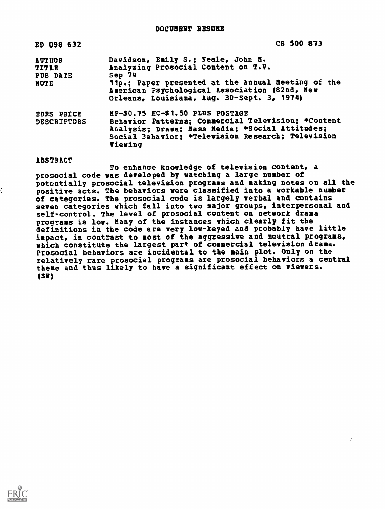| ED 098 632                                               | CS 500 873                                                                                                                                                                                                                               |
|----------------------------------------------------------|------------------------------------------------------------------------------------------------------------------------------------------------------------------------------------------------------------------------------------------|
| <b>AUTHOR</b><br><b>TITLE</b><br>PUB DATE<br><b>NOTE</b> | Davidson, Emily S.; Neale, John N.<br>Analyzing Prosocial Content on T.V.<br>Sep 74<br>11p.; Paper presented at the Annual Meeting of the<br>American Psychological Association (82nd, New<br>Orleans, Louisiana, Aug. 30-Sept. 3, 1974) |
| <b>EDRS PRICE</b><br><b>DESCRIPTORS</b>                  | MF-\$0.75 HC-\$1.50 PLUS POSTAGE<br>Behavior Patterns; Connercial Television; *Content<br>Analysis; Drama; Hass Hedia; *Social Attitudes;<br>Social Behavior; *Television Research; Television<br>Viewing                                |

#### ABSTRACT

To enhance knowledge of television content, a prosocial code was developed by watching a large number of potentially prosocial television programs and making notes on all the positive acts. The behaviors were classified into a workable number of categories. The prosocial code is largely verbal and contains seven categories which fall into two major groups, interpersonal and self-control. The level of prosocial content on network drama programs is low. Many of the instances which clearly fit the definitions in the code are very low-keyed and probably have little impact, in contrast to most of the aggressive and neutral programs, which constitute the largest part of commercial television drama. Prosocial behaviors are incidental to the main plot. Only on the relatively rare prosocial programs are prosocial behaviors a central theme and thus likely to have a significant effect on viewers. (SW)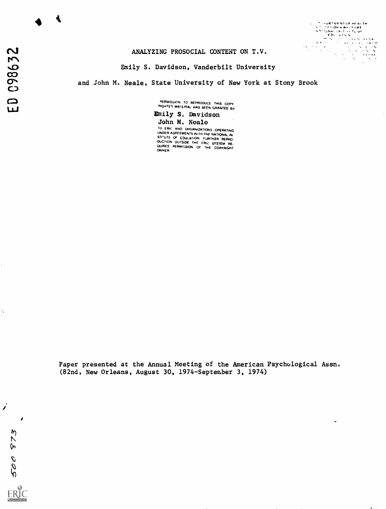4

# ANALYZING PROSOCIAL CONTENT ON T.V.

Emily S. Davidson, Vanderbilt University

### and John M. Neale, State University of New York at Stony Brook

PERMISSION TO REPRODUCE THIS COPY RIGHTED MATERIAL HAS BEEN GRANTED BY



QUIRES PERMISSION OF THE COPYRIGHT<br>OWNER

Paper presented at the Annual Meeting of the American Psychological Assn. (82nd, New Orleans, August 30, 1974-September 3, 1974)

500 873 ERIC

 $\overline{\phantom{a}}$ 

Ÿ,

 $\overline{\phantom{a}}$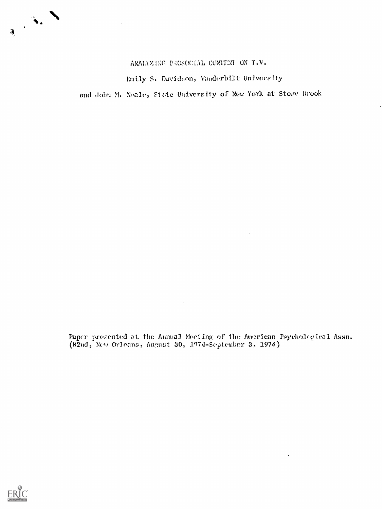

ANALYZ (NC PROSOCIAL CONTENT ON T.V.

Emily S. Davidson, Vanderbilt University

and John M. Neale, State University of New York at Stony Brook

Paper presented at the Atmual Meeting of the American Psychological Assn. (82nd, Orloans, August 30, 1974-September 3, 1974)

 $\ddot{\phantom{a}}$ 

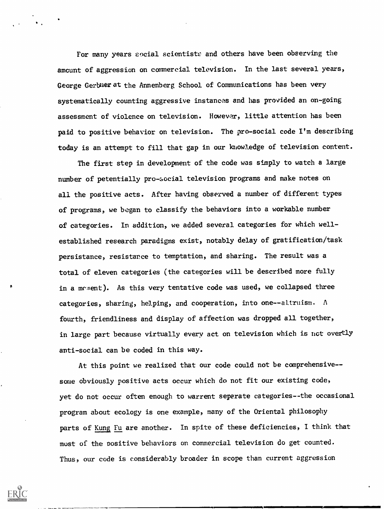For many years social scientists and others have been observing the amcunt of aggression on commercial television. In the last several years, George Gerbuer at the Annenberg School of Communications has been very systematically counting aggressive instances and has provided an on-going assessment of violence on television. However, little attention has been paid to positive behavior on television. The pro-social code I'm describing today is an attempt to fill that gap in our knowledge of television content.

The first step in development of the code was simply to watch a large number of petentially pro-social television programs and make notes on all the positive acts. After having observed a number of different types of programs, we began to classify the behaviors into a workable number of categories. In addition, we added several categories for which wellestablished research paradigms exist, notably delay of gratification/task persistance, resistance to temptation, and sharing. The result was a total of eleven categories (the categories will be described more fully in a mement). As this very tentative code was used, we collapsed three categories, sharing, helping, and cooperation, into one--altruism.  $\Lambda$ fourth, friendliness and display of affection was dropped all together, in large part because virtually every act on television which is nct overtly anti-social can be coded in this way.

At this point we realized that our code could not be comprehensive-some obviously positive acts occur which do not fit our existing code, yet do not occur often enough to warrent separate categories--the occasional program about ecology is one example, many of the Oriental philosophy parts of Kung Fu are another. In spite of these deficiencies, I think that most of the positive behaviors on commercial television do get counted. Thus, our code is considerably broader in scope than current aggression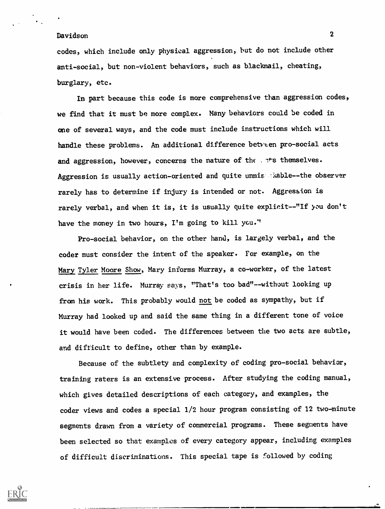codes, which include only physical aggression, but do not include other anti-social, but non-violent behaviors, such as blackmail, cheating, burglary, etc.

In part because this code is more comprehensive than aggression codes, we find that it must be more complex. Many behaviors could be coded in one of several ways, and the code must include instructions which will handle these problems. An additional difference between pro-social acts and aggression, however, concerns the nature of the . its themselves. Aggression is usually action-oriented and quite unmis Nable--the observer rarely has to determine if injury is intended or not. Aggression is rarely verbal, and when it is, it is usually quite explicit--"If you don't have the money in two hours, I'm going to kill ycu."

Pro-social behavior, on the other hand, is largely verbal, and the coder must consider the intent of the speaker. For example, on the Mary Tyler Moore Show, Mary informs Murray, a co-worker, of the latest crisis in her life. Murray says, "That's too bad"--without looking up from his work. This probably would not be coded as sympathy, but if Murray had looked up and said the same thing in a different tone of voice it would have been coded. The differences between the two acts are subtle, and difficult to define, other than by example.

Because of the subtlety and complexity of coding pro-social behavior, training raters is an extensive process. After studying the coding manual, which gives detailed descriptions of each category, and examples, the coder views and codes a special 1/2 hour program consisting of 12 two-minute segments drawn from a variety of commercial programs. These segments have been selected so that examples of every category appear, including examples of difficult discriminations. This special tape is followed by coding

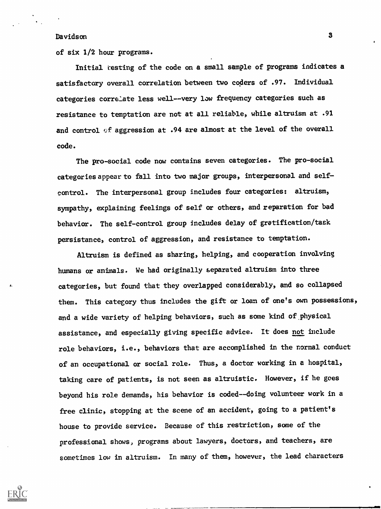of six 1/2 hour programs.

Initial resting of the code on a small sample of programs indicates a satisfactory overall correlation between two coders of .97. Individual categories correlate less well--very low frequency categories such as resistance to temptation are not at all reliable, while altruism at .91 and control of aggression at .94 are almost at the level of the overall code.

The pro-social code now contains seven categories. The pro-social categories appear to fall into two major groups, interpersonal and selfcontrol. The interpersonal group includes four categories: altruism, sympathy, explaining feelings of self or others, and reparation for bad behavior. The self-control group includes delay of gratification/task persistance, control of aggression, and resistance to temptation.

Altruism is defined as sharing, helping, and cooperation involving humans or animals. We had originally separated altruism into three categories, but found that they overlapped considerably, and so collapsed them. This category thus includes the gift or loan of one's own possessions, and a wide variety of helping behaviors, such as some kind of physical assistance, and especially giving specific advice. It does not include role behaviors, i.e., behaviors that are accomplished in the normal conduct of an occupational or social role. Thus, a doctor working in a hospital, taking care of patients, is not seen as altruistic. However, if he goes beyond his role demands, his behavior is coded--doing volunteer work in a free clinic, stopping at the scene of an accident, going to a patient's house to provide service. Because of this restriction, some of the professional shows, programs about lawyers, doctors, and teachers, are sometimes low in altruism. In many of them, however, the lead characters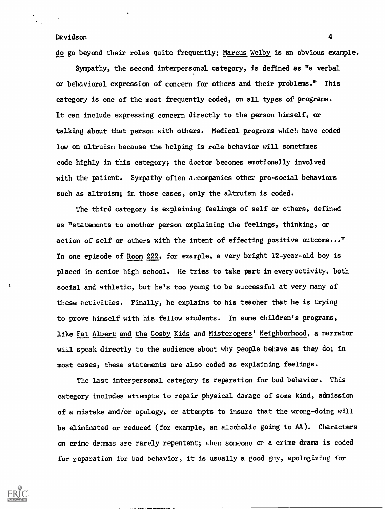do go beyond their roles quite frequently; Marcus Welby is an obvious example.

Sympathy, the second interpersonal category, is defined as "a verbal or behavioral expression of concern for others and their problems." This category is one of the most frequently coded, on all types of programs. It can include expressing concern directly to the person himself, or talking about that person with others. Medical programs which have coded low on altruism because the helping is role behavior will sometimes code highly in this category; the doctor becomes emotionally involved with the patient. Sympathy often accompanies other pro-social behaviors such as altruism; in those cases, only the altruism is coded.

The third category is explaining feelings of self or others, defined as "statements to another person explaining the feelings, thinking, or action of self or others with the intent of effecting positive outcome..." In one episode of Room 222, for example, a very bright 12-year-old boy is placed in senior high school. He tries to take part in every activity, both social and athletic, but he's too young to be successful at very many of these activities. Finally, he explains to his teacher that he is trying to prove himself with his fellow students. In some children's programs, like Fat Albert and the Cosby Kids and Misterogers' Neighborhood, a narrator will speak directly to the audience about why people behave as they do; in most cases, these statements are also coded as explaining feelings.

The last interpersonal category is reparation for bad behavior. This category includes attempts to repair physical damage of some kind, admission of a mistake and/or apology, or attempts to insure that the wrong-doing will be eliminated or reduced (for example, an alcoholic going to AA). Characters on crime dramas are rarely repentent; when someone or a crime drama is coded for reparation for bad behavior, it is usually a good guy, apologizing for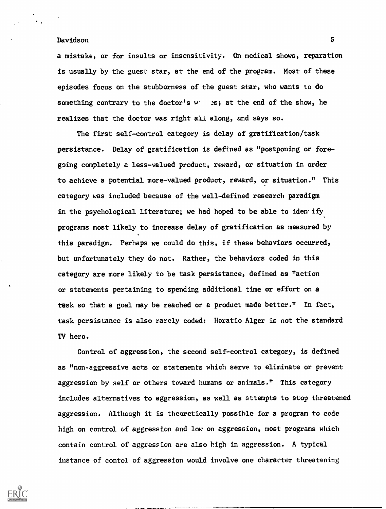a mistake, or for insults or insensitivity. On medical shows, reparation is usually by the guest star, at the end of the program. Most of these episodes focus on the stubborness of the guest star, who wants to do something contrary to the doctor's  $w = 3s$ ; at the end of the show, he realizes that the doctor was right all along, and says so.

The first self-control category is delay of gratification/task persistance. Delay of gratification is defined as "postponing or foregoing completely a less-valued product, reward, or situation in order to achieve a potential more-valued product, reward, or situation." This category was included because of the well-defined research paradigm in the psychological literature; we had hoped to be able to iden ify programs most likely to increase delay of gratification as measured by this paradigm. Perhaps we could do this, if these behaviors occurred, but unfortunately they do not. Rather, the behaviors coded in this category are more likely to be task persistance, defined as "action or statements pertaining to spending additional time or effort on a task so that a goal may be reached or a product made better." In fact, task persistance is also rarely coded: Horatio Alger is not the standard TV hero.

Control of aggression, the second self-control category, is defined as "non-aggressive acts or statements which serve to eliminate or prevent aggression by self or others toward humans or animals." This category includes alternatives to aggression, as well as attempts to stop threatened aggression. Although it is theoretically possible for a program to code high on control of aggression and low on aggression, most programs which contain control of aggression are also high in aggression. A typical instance of contol of aggression would involve one character threatening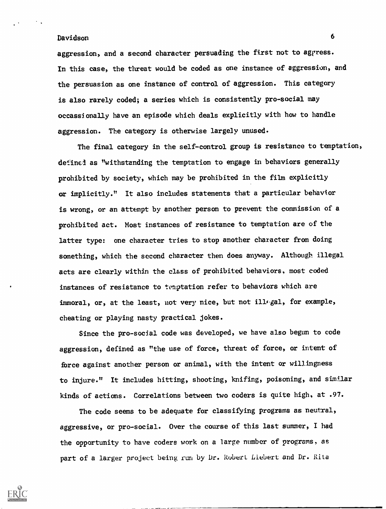aggression, and a second character persuading the first not to aggress. In this case, the threat would be coded as one instance of aggression, and the persuasion as one instance of control of aggression. This category is also rarely coded; a series which is consistently pro-social may occassionally have an episode which deals explicitly with how to handle aggression. The category is otherwise largely unused.

The final category in the self-control group is resistance to temptation, defined as "withstanding the temptation to engage in behaviors generally prohibited by society, which may be prohibited in the film explicitly or implicitly." It also includes statements that a particular behavior is wrong, or an attempt by another person to prevent the commission of a prohibited act. Most instances of resistance to temptation are of the latter type: one character tries to stop another character from doing something, which the second character then does anyway. Although illegal acts are clearly within the class of prohibited behaviors, most coded instances of resistance to temptation refer to behaviors which are immoral, or, at the least, not very nice, but not illegal, for example, cheating or playing nasty practical jokes.

Since the pro-social code was developed, we have also begun to code aggression, defined as "the use of force, threat of force, or intent of force against another person or animal, with the intent or willingness to injure." It includes hitting, shooting, knifing, poisoning, and similar kinds of actions. Correlations between two coders is quite high, at .97.

The code seems to be adequate for classifying programs as neutral, aggressive, or pro-social. Over the course of this last summer, I had the opportunity to have coders work on a large number of programs, as part of a larger project being run by Dr. Robert Liebert and Dr. Rita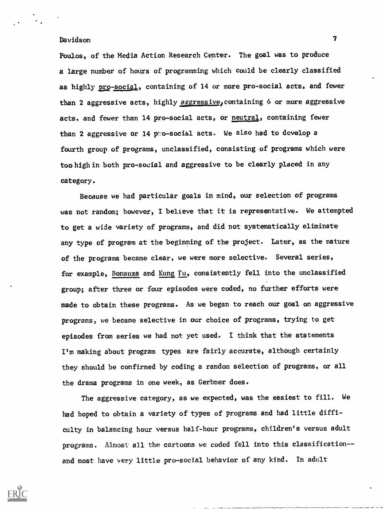Poulos, of the Media Action Research Center. The goal was to produce a large number of hours of programming which could be clearly classified as highly pro-social, containing of 14 or more pro-social acts, and fewer than 2 aggressive acts, highly aggressive, containing 6 or more aggressive acts, and fewer than 14 pro-social acts, or neutral, containing fewer than 2 aggressive or 14 pro-social acts. We also had to develop a fourth group of programs, unclassified, consisting of programs which were too high in both pro-social and aggressive to be clearly placed in any category.

Because we had particular goals in mind, our selection of programs was not random; however, I believe that it is representative. We attempted to get a wide variety of programs, and did not systematically eliminate any type of program at the beginning of the project. Later, as the nature of the programs became clear, we were more selective. Several series, for example, Bonanza and Kung Fu, consistently fell into the unclassified group; after three or four episodes were coded, no further efforts were made to obtain these programs. As we began to reach our goal on aggressive programs, we became selective in our choice of programs, trying to get episodes from series we had not yet used. I think that the statements I'm making about program types are fairly accurate, although certainly they should be confirmed by coding a random selection of programs, or all the drama programs in one week, as Gerbner does.

The aggressive category, as we expected, was the easiest to fill. We had hoped to obtain a variety of types of programs and had little difficulty in balancing hour versus half-hour programs, children's versus adult programs. Almost all the cartoons we coded fell into this classification-and most have very little pro-social behavior of any kind. In adult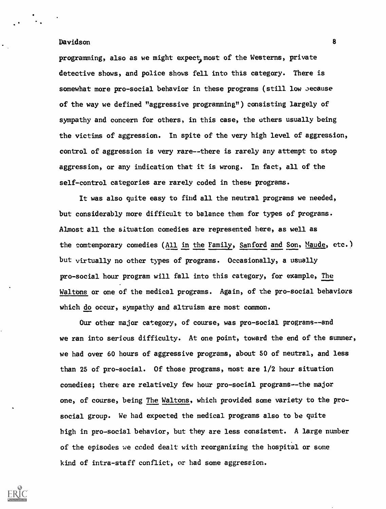programming, also as we might expect, most of the Westerns, private detective shows, and police shows fell into this category. There is somewhat more pro-social behavior in these programs (still low aecause of the way we defined "aggressive programming") consisting largely of sympathy and concern for others, in this case, the others usually being the victims of aggression. In spite of the very high level of aggression, control of aggression is very rare--there is rarely any attempt to stop aggression, or any indication that it is wrong. In fact, all of the self-control categories are rarely coded in these programs.

It was also quite easy to find all the neutral programs we needed, but considerably more difficult to balance them for types of programs. Almost all the situation comedies are represented here, as well as the comtemporary comedies (All in the Family, Sanford and Son, Maude, etc.) but virtually no other types of programs. Occasionally, a usually pro-social hour program will fall into this category, for example, The Waltons or one of the medical programs. Again, of the pro-social behaviors which do occur, sympathy and altruism are most common.

Our other major category, of course, was pro-social programs--and we ran into serious difficulty. At one point, toward the end of the summer, we had over 60 hours of aggressive programs, about 50 of neutral, and less than 25 of pro-social. Of those programs, most are 1/2 hour situation comedies; there are relatively few hour pro-social programs--the major one, of course, being The Waltons, which provided some variety to the prosocial group. We had expected the medical programs also to be quite high in pro-social behavior, but they are less consistent. A large number of the episodes we coded dealt with reorganizing the hospital or some kind of intra-staff conflict, or had some aggression.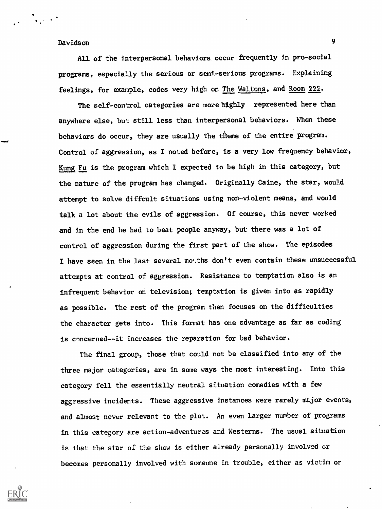$\mathcal{L} = \frac{1}{2} \sum_{i=1}^{n} \frac{1}{2} \sum_{i=1}^{n} \frac{1}{2} \sum_{i=1}^{n} \frac{1}{2} \sum_{i=1}^{n} \frac{1}{2} \sum_{i=1}^{n} \frac{1}{2} \sum_{i=1}^{n} \frac{1}{2} \sum_{i=1}^{n} \frac{1}{2} \sum_{i=1}^{n} \frac{1}{2} \sum_{i=1}^{n} \frac{1}{2} \sum_{i=1}^{n} \frac{1}{2} \sum_{i=1}^{n} \frac{1}{2} \sum_{i=1}^{n} \frac{1}{2} \sum$ 

All of the interpersonal behaviors occur frequently in pro-social programs, especially the serious or semi-serious programs. Explaining feelings, for example, codes very high on The Waltons, and Room 222.

The self-control categories are more highly represented here than anywhere else, but still less than interpersonal behaviors. When these behaviors do occur, they are usually the theme of the entire program. Control of aggression, as I noted before, is a very low frequency behavior, Kung Fu is the program which I expected to be high in this category, but the nature of the program has changed. Originally Caine, the star, would attempt to solve diffcult situations using non-violent means, and would talk a lot about the evils of aggression. Of course, this never worked and in the end he had to beat people anyway, but there was a lot of control of aggression during the first part of the show. The episodes I have seen in the last several mouths don't even contain these unsuccessful attempts at control of aggression. Resistance to temptation also is an infrequent behavior on television; temptation is given into as rapidly as possible. The rest of the program then focuses on the difficulties the character gets into. This format has one advantage as far as coding is concerned--it increases the reparation for bad behavior.

The final group, those that could not be classified into any of the three major categories, are in some ways the most interesting. Into this category fell the essentially neutral situation comedies with a few aggressive incidents. These aggressive instances were rarely major events, and almost never relevant to the plot. An even larger number of programs in this category are action-adventures and Westerns. The usual situation is that the star of the show is either already personally involved or becomes personally involved with someone in trouble, either as victim or